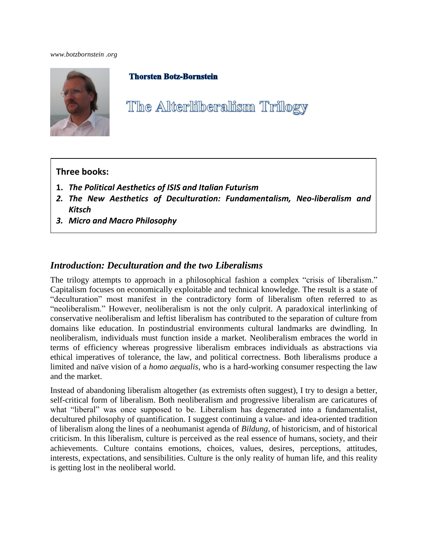#### *www.botzbornstein .org*



**Thorsten Botz-Bornstein** 

The Alterliberalism Trilogy

#### **Three books:**

- **1.** *The Political Aesthetics of ISIS and Italian Futurism*
- *2. The New Aesthetics of Deculturation: Fundamentalism, Neo-liberalism and Kitsch*
- *3. Micro and Macro Philosophy*

#### *Introduction: Deculturation and the two Liberalisms*

The trilogy attempts to approach in a philosophical fashion a complex "crisis of liberalism." Capitalism focuses on economically exploitable and technical knowledge. The result is a state of "deculturation" most manifest in the contradictory form of liberalism often referred to as "neoliberalism." However, neoliberalism is not the only culprit. A paradoxical interlinking of conservative neoliberalism and leftist liberalism has contributed to the separation of culture from domains like education. In postindustrial environments cultural landmarks are dwindling. In neoliberalism, individuals must function inside a market. Neoliberalism embraces the world in terms of efficiency whereas progressive liberalism embraces individuals as abstractions via ethical imperatives of tolerance, the law, and political correctness. Both liberalisms produce a limited and naïve vision of a *homo aequalis*, who is a hard-working consumer respecting the law and the market.

Instead of abandoning liberalism altogether (as extremists often suggest), I try to design a better, self-critical form of liberalism. Both neoliberalism and progressive liberalism are caricatures of what "liberal" was once supposed to be. Liberalism has degenerated into a fundamentalist, decultured philosophy of quantification. I suggest continuing a value- and idea-oriented tradition of liberalism along the lines of a neohumanist agenda of *Bildung*, of historicism, and of historical criticism. In this liberalism, culture is perceived as the real essence of humans, society, and their achievements. Culture contains emotions, choices, values, desires, perceptions, attitudes, interests, expectations, and sensibilities. Culture is the only reality of human life, and this reality is getting lost in the neoliberal world.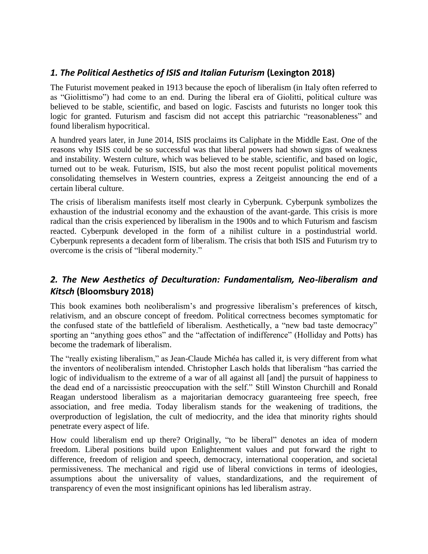### *1. The Political Aesthetics of ISIS and Italian Futurism* **(Lexington 2018)**

The Futurist movement peaked in 1913 because the epoch of liberalism (in Italy often referred to as "Giolittismo") had come to an end. During the liberal era of Giolitti, political culture was believed to be stable, scientific, and based on logic. Fascists and futurists no longer took this logic for granted. Futurism and fascism did not accept this patriarchic "reasonableness" and found liberalism hypocritical.

A hundred years later, in June 2014, ISIS proclaims its Caliphate in the Middle East. One of the reasons why ISIS could be so successful was that liberal powers had shown signs of weakness and instability. Western culture, which was believed to be stable, scientific, and based on logic, turned out to be weak. Futurism, ISIS, but also the most recent populist political movements consolidating themselves in Western countries, express a Zeitgeist announcing the end of a certain liberal culture.

The crisis of liberalism manifests itself most clearly in Cyberpunk. Cyberpunk symbolizes the exhaustion of the industrial economy and the exhaustion of the avant-garde. This crisis is more radical than the crisis experienced by liberalism in the 1900s and to which Futurism and fascism reacted. Cyberpunk developed in the form of a nihilist culture in a postindustrial world. Cyberpunk represents a decadent form of liberalism. The crisis that both ISIS and Futurism try to overcome is the crisis of "liberal modernity."

## *2. The New Aesthetics of Deculturation: Fundamentalism, Neo-liberalism and Kitsch* **(Bloomsbury 2018)**

This book examines both neoliberalism's and progressive liberalism's preferences of kitsch, relativism, and an obscure concept of freedom. Political correctness becomes symptomatic for the confused state of the battlefield of liberalism. Aesthetically, a "new bad taste democracy" sporting an "anything goes ethos" and the "affectation of indifference" (Holliday and Potts) has become the trademark of liberalism.

The "really existing liberalism," as Jean-Claude Michéa has called it, is very different from what the inventors of neoliberalism intended. Christopher Lasch holds that liberalism "has carried the logic of individualism to the extreme of a war of all against all [and] the pursuit of happiness to the dead end of a narcissistic preoccupation with the self." Still Winston Churchill and Ronald Reagan understood liberalism as a majoritarian democracy guaranteeing free speech, free association, and free media. Today liberalism stands for the weakening of traditions, the overproduction of legislation, the cult of mediocrity, and the idea that minority rights should penetrate every aspect of life.

How could liberalism end up there? Originally, "to be liberal" denotes an idea of modern freedom. Liberal positions build upon Enlightenment values and put forward the right to difference, freedom of religion and speech, democracy, international cooperation, and societal permissiveness. The mechanical and rigid use of liberal convictions in terms of ideologies, assumptions about the universality of values, standardizations, and the requirement of transparency of even the most insignificant opinions has led liberalism astray.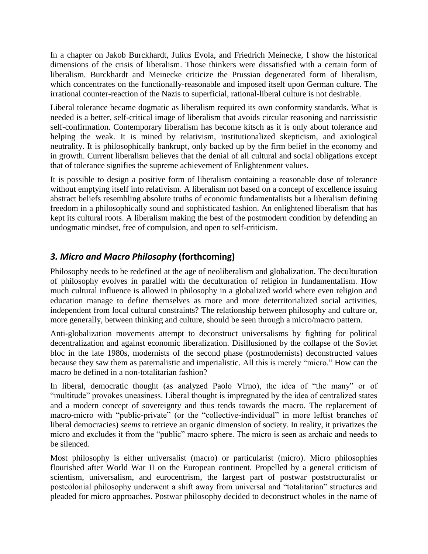In a chapter on Jakob Burckhardt, Julius Evola, and Friedrich Meinecke, I show the historical dimensions of the crisis of liberalism. Those thinkers were dissatisfied with a certain form of liberalism. Burckhardt and Meinecke criticize the Prussian degenerated form of liberalism, which concentrates on the functionally-reasonable and imposed itself upon German culture. The irrational counter-reaction of the Nazis to superficial, rational-liberal culture is not desirable.

Liberal tolerance became dogmatic as liberalism required its own conformity standards. What is needed is a better, self-critical image of liberalism that avoids circular reasoning and narcissistic self-confirmation. Contemporary liberalism has become kitsch as it is only about tolerance and helping the weak. It is mined by relativism, institutionalized skepticism, and axiological neutrality. It is philosophically bankrupt, only backed up by the firm belief in the economy and in growth. Current liberalism believes that the denial of all cultural and social obligations except that of tolerance signifies the supreme achievement of Enlightenment values.

It is possible to design a positive form of liberalism containing a reasonable dose of tolerance without emptying itself into relativism. A liberalism not based on a concept of excellence issuing abstract beliefs resembling absolute truths of economic fundamentalists but a liberalism defining freedom in a philosophically sound and sophisticated fashion. An enlightened liberalism that has kept its cultural roots. A liberalism making the best of the postmodern condition by defending an undogmatic mindset, free of compulsion, and open to self-criticism.

# *3. Micro and Macro Philosophy* **(forthcoming)**

Philosophy needs to be redefined at the age of neoliberalism and globalization. The deculturation of philosophy evolves in parallel with the deculturation of religion in fundamentalism. How much cultural influence is allowed in philosophy in a globalized world where even religion and education manage to define themselves as more and more deterritorialized social activities, independent from local cultural constraints? The relationship between philosophy and culture or, more generally, between thinking and culture, should be seen through a micro/macro pattern.

Anti-globalization movements attempt to deconstruct universalisms by fighting for political decentralization and against economic liberalization. Disillusioned by the collapse of the Soviet bloc in the late 1980s, modernists of the second phase (postmodernists) deconstructed values because they saw them as paternalistic and imperialistic. All this is merely "micro." How can the macro be defined in a non-totalitarian fashion?

In liberal, democratic thought (as analyzed Paolo Virno), the idea of "the many" or of "multitude" provokes uneasiness. Liberal thought is impregnated by the idea of centralized states and a modern concept of sovereignty and thus tends towards the macro. The replacement of macro-micro with "public-private" (or the "collective-individual" in more leftist branches of liberal democracies) *seems* to retrieve an organic dimension of society. In reality, it privatizes the micro and excludes it from the "public" macro sphere. The micro is seen as archaic and needs to be silenced.

Most philosophy is either universalist (macro) or particularist (micro). Micro philosophies flourished after World War II on the European continent. Propelled by a general criticism of scientism, universalism, and eurocentrism, the largest part of postwar poststructuralist or postcolonial philosophy underwent a shift away from universal and "totalitarian" structures and pleaded for micro approaches. Postwar philosophy decided to deconstruct wholes in the name of